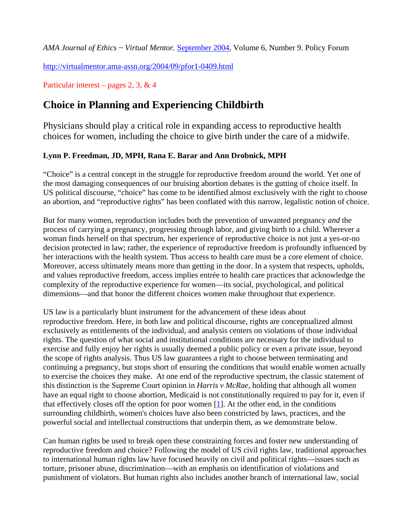*AMA Journal of Ethics ~ Virtual Mentor.* [September 2004](http://virtualmentor.ama-assn.org/2004/09/toc-0409.html), Volume 6, Number 9. Policy Forum

<http://virtualmentor.ama-assn.org/2004/09/pfor1-0409.html>

Particular interest – pages 2, 3,  $& 4$ 

# **Choice in Planning and Experiencing Childbirth**

Physicians should play a critical role in expanding access to reproductive health choices for women, including the choice to give birth under the care of a midwife.

## **Lynn P. Freedman, JD, MPH, Rana E. Barar and Ann Drobnick, MPH**

"Choice" is a central concept in the struggle for reproductive freedom around the world. Yet one of the most damaging consequences of our bruising abortion debates is the gutting of choice itself. In US political discourse, "choice" has come to be identified almost exclusively with the right to choose an abortion, and "reproductive rights" has been conflated with this narrow, legalistic notion of choice.

But for many women, reproduction includes both the prevention of unwanted pregnancy *and* the process of carrying a pregnancy, progressing through labor, and giving birth to a child. Wherever a woman finds herself on that spectrum, her experience of reproductive choice is not just a yes-or-no decision protected in law; rather, the experience of reproductive freedom is profoundly influenced by her interactions with the health system. Thus access to health care must be a core element of choice. Moreover, access ultimately means more than getting in the door. In a system that respects, upholds, and values reproductive freedom, access implies entrée to health care practices that acknowledge the complexity of the reproductive experience for women—its social, psychological, and political dimensions—and that honor the different choices women make throughout that experience.

US law is a particularly blunt instrument for the advancement of these ideas about reproductive freedom. Here, in both law and political discourse, rights are conceptualized almost exclusively as entitlements of the individual, and analysis centers on violations of those individual rights. The question of what social and institutional conditions are necessary for the individual to exercise and fully enjoy her rights is usually deemed a public policy or even a private issue, beyond the scope of rights analysis. Thus US law guarantees a right to choose between terminating and continuing a pregnancy, but stops short of ensuring the conditions that would enable women actually to exercise the choices they make. At one end of the reproductive spectrum, the classic statement of this distinction is the Supreme Court opinion in *Harris v McRae*, holding that although all women have an equal right to choose abortion, Medicaid is not constitutionally required to pay for it, even if that effectively closes off the option for poor women  $[1]$ . At the other end, in the conditions surrounding childbirth, women's choices have also been constricted by laws, practices, and the powerful social and intellectual constructions that underpin them, as we demonstrate below.

Can human rights be used to break open these constraining forces and foster new understanding of reproductive freedom and choice? Following the model of US civil rights law, traditional approaches to international human rights law have focused heavily on civil and political rights—issues such as torture, prisoner abuse, discrimination—with an emphasis on identification of violations and punishment of violators. But human rights also includes another branch of international law, social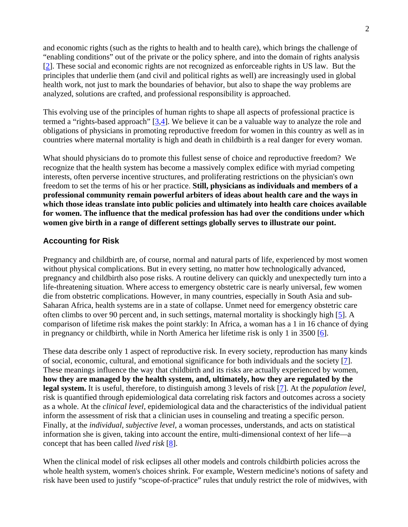and economic rights (such as the rights to health and to health care), which brings the challenge of "enabling conditions" out of the private or the policy sphere, and into the domain of rights analysis [2]. These social and economic rights are not recognized as enforceable rights in US law. But the principles that underlie them (and civil and political rights as well) are increasingly used in global health work, not just to mark the boundaries of behavior, but also to shape the way problems are analyzed, solutions are crafted, and professional responsibility is approached.

This evolving use of the principles of human rights to shape all aspects of professional practice is termed a "rights-based approach" [3,4]. We believe it can be a valuable way to analyze the role and obligations of physicians in promoting reproductive freedom for women in this country as well as in countries where maternal mortality is high and death in childbirth is a real danger for every woman.

What should physicians do to promote this fullest sense of choice and reproductive freedom? We recognize that the health system has become a massively complex edifice with myriad competing interests, often perverse incentive structures, and proliferating restrictions on the physician's own freedom to set the terms of his or her practice. **Still, physicians as individuals and members of a professional community remain powerful arbiters of ideas about health care and the ways in which those ideas translate into public policies and ultimately into health care choices available for women. The influence that the medical profession has had over the conditions under which women give birth in a range of different settings globally serves to illustrate our point.** 

#### **Accounting for Risk**

Pregnancy and childbirth are, of course, normal and natural parts of life, experienced by most women without physical complications. But in every setting, no matter how technologically advanced, pregnancy and childbirth also pose risks. A routine delivery can quickly and unexpectedly turn into a life-threatening situation. Where access to emergency obstetric care is nearly universal, few women die from obstetric complications. However, in many countries, especially in South Asia and sub-Saharan Africa, health systems are in a state of collapse. Unmet need for emergency obstetric care often climbs to over 90 percent and, in such settings, maternal mortality is shockingly high [5]. A comparison of lifetime risk makes the point starkly: In Africa, a woman has a 1 in 16 chance of dying in pregnancy or childbirth, while in North America her lifetime risk is only 1 in 3500 [6].

These data describe only 1 aspect of reproductive risk. In every society, reproduction has many kinds of social, economic, cultural, and emotional significance for both individuals and the society [7]. These meanings influence the way that childbirth and its risks are actually experienced by women, **how they are managed by the health system, and, ultimately, how they are regulated by the legal system.** It is useful, therefore, to distinguish among 3 levels of risk [7]. At the *population level*, risk is quantified through epidemiological data correlating risk factors and outcomes across a society as a whole. At the *clinical level*, epidemiological data and the characteristics of the individual patient inform the assessment of risk that a clinician uses in counseling and treating a specific person. Finally, at the *individual, subjective level,* a woman processes, understands, and acts on statistical information she is given, taking into account the entire, multi-dimensional context of her life—a concept that has been called *lived risk* [8].

When the clinical model of risk eclipses all other models and controls childbirth policies across the whole health system, women's choices shrink. For example, Western medicine's notions of safety and risk have been used to justify "scope-of-practice" rules that unduly restrict the role of midwives, with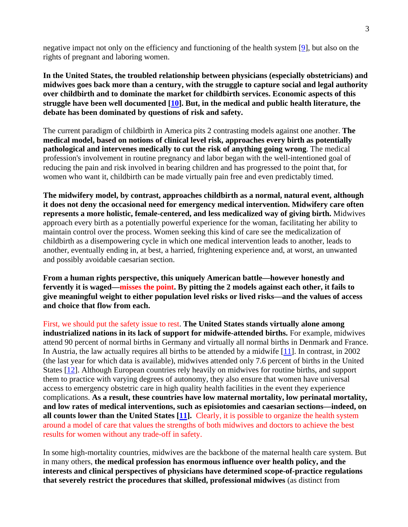negative impact not only on the efficiency and functioning of the health system [9], but also on the rights of pregnant and laboring women.

**In the United States, the troubled relationship between physicians (especially obstetricians) and midwives goes back more than a century, with the struggle to capture social and legal authority over childbirth and to dominate the market for childbirth services. Economic aspects of this struggle have been well documented [10]. But, in the medical and public health literature, the debate has been dominated by questions of risk and safety.** 

The current paradigm of childbirth in America pits 2 contrasting models against one another. **The medical model, based on notions of clinical level risk, approaches every birth as potentially pathological and intervenes medically to cut the risk of anything going wrong**. The medical profession's involvement in routine pregnancy and labor began with the well-intentioned goal of reducing the pain and risk involved in bearing children and has progressed to the point that, for women who want it, childbirth can be made virtually pain free and even predictably timed.

**The midwifery model, by contrast, approaches childbirth as a normal, natural event, although it does not deny the occasional need for emergency medical intervention. Midwifery care often represents a more holistic, female-centered, and less medicalized way of giving birth.** Midwives approach every birth as a potentially powerful experience for the woman, facilitating her ability to maintain control over the process. Women seeking this kind of care see the medicalization of childbirth as a disempowering cycle in which one medical intervention leads to another, leads to another, eventually ending in, at best, a harried, frightening experience and, at worst, an unwanted and possibly avoidable caesarian section.

**From a human rights perspective, this uniquely American battle—however honestly and fervently it is waged—misses the point. By pitting the 2 models against each other, it fails to give meaningful weight to either population level risks or lived risks—and the values of access and choice that flow from each.** 

First, we should put the safety issue to rest. **The United States stands virtually alone among industrialized nations in its lack of support for midwife-attended births.** For example, midwives attend 90 percent of normal births in Germany and virtually all normal births in Denmark and France. In Austria, the law actually requires all births to be attended by a midwife [11]. In contrast, in 2002 (the last year for which data is available), midwives attended only 7.6 percent of births in the United States [12]. Although European countries rely heavily on midwives for routine births, and support them to practice with varying degrees of autonomy, they also ensure that women have universal access to emergency obstetric care in high quality health facilities in the event they experience complications. **As a result, these countries have low maternal mortality, low perinatal mortality, and low rates of medical interventions, such as episiotomies and caesarian sections—indeed, on all counts lower than the United States [11].** Clearly, it is possible to organize the health system around a model of care that values the strengths of both midwives and doctors to achieve the best results for women without any trade-off in safety.

In some high-mortality countries, midwives are the backbone of the maternal health care system. But in many others, **the medical profession has enormous influence over health policy, and the interests and clinical perspectives of physicians have determined scope-of-practice regulations that severely restrict the procedures that skilled, professional midwives** (as distinct from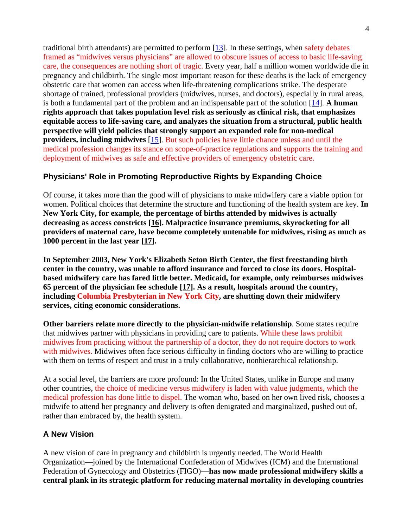traditional birth attendants) are permitted to perform [13]. In these settings, when safety debates framed as "midwives versus physicians" are allowed to obscure issues of access to basic life-saving care, the consequences are nothing short of tragic. Every year, half a million women worldwide die in pregnancy and childbirth. The single most important reason for these deaths is the lack of emergency obstetric care that women can access when life-threatening complications strike. The desperate shortage of trained, professional providers (midwives, nurses, and doctors), especially in rural areas, is both a fundamental part of the problem and an indispensable part of the solution [14]. **A human rights approach that takes population level risk as seriously as clinical risk, that emphasizes equitable access to life-saving care, and analyzes the situation from a structural, public health perspective will yield policies that strongly support an expanded role for non-medical providers, including midwives** [15]. But such policies have little chance unless and until the medical profession changes its stance on scope-of-practice regulations and supports the training and deployment of midwives as safe and effective providers of emergency obstetric care.

## **Physicians' Role in Promoting Reproductive Rights by Expanding Choice**

Of course, it takes more than the good will of physicians to make midwifery care a viable option for women. Political choices that determine the structure and functioning of the health system are key. **In New York City, for example, the percentage of births attended by midwives is actually decreasing as access constricts [16]. Malpractice insurance premiums, skyrocketing for all providers of maternal care, have become completely untenable for midwives, rising as much as 1000 percent in the last year [17].** 

**In September 2003, New York's Elizabeth Seton Birth Center, the first freestanding birth center in the country, was unable to afford insurance and forced to close its doors. Hospitalbased midwifery care has fared little better. Medicaid, for example, only reimburses midwives 65 percent of the physician fee schedule [17]. As a result, hospitals around the country, including Columbia Presbyterian in New York City, are shutting down their midwifery services, citing economic considerations.** 

**Other barriers relate more directly to the physician-midwife relationship**. Some states require that midwives partner with physicians in providing care to patients. While these laws prohibit midwives from practicing without the partnership of a doctor, they do not require doctors to work with midwives. Midwives often face serious difficulty in finding doctors who are willing to practice with them on terms of respect and trust in a truly collaborative, nonhierarchical relationship.

At a social level, the barriers are more profound: In the United States, unlike in Europe and many other countries, the choice of medicine versus midwifery is laden with value judgments, which the medical profession has done little to dispel. The woman who, based on her own lived risk, chooses a midwife to attend her pregnancy and delivery is often denigrated and marginalized, pushed out of, rather than embraced by, the health system.

# **A New Vision**

A new vision of care in pregnancy and childbirth is urgently needed. The World Health Organization—joined by the International Confederation of Midwives (ICM) and the International Federation of Gynecology and Obstetrics (FIGO)—**has now made professional midwifery skills a central plank in its strategic platform for reducing maternal mortality in developing countries**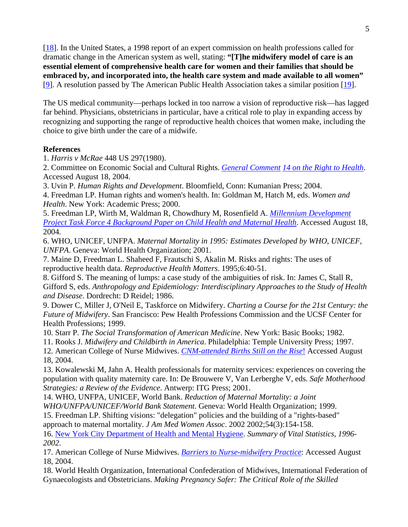[18]. In the United States, a 1998 report of an expert commission on health professions called for dramatic change in the American system as well, stating: **"[T]he midwifery model of care is an essential element of comprehensive health care for women and their families that should be embraced by, and incorporated into, the health care system and made available to all women"**  [9]. A resolution passed by The American Public Health Association takes a similar position [19].

The US medical community—perhaps locked in too narrow a vision of reproductive risk—has lagged far behind. Physicians, obstetricians in particular, have a critical role to play in expanding access by recognizing and supporting the range of reproductive health choices that women make, including the choice to give birth under the care of a midwife.

#### **References**

1. *Harris v McRae* 448 US 297(1980).

2. Committee on Economic Social and Cultural Rights. *[General Comment](http://www.unhchr.ch/tbs/doc.nsf/%28Symbol%29/40d009901358b0e2c1256915005090be?Opendocumentw) [14 on the Right to Health](http://www.unhchr.ch/tbs/doc.nsf/%28Symbol%29/40d009901358b0e2c1256915005090be?Opendocumentw)*. Accessed August 18, 2004.

3. Uvin P. *Human Rights and Development*. Bloomfield, Conn: Kumanian Press; 2004.

4. Freedman LP. Human rights and women's health. In: Goldman M, Hatch M, eds. *Women and Health*. New York: Academic Press; 2000.

5. Freedman LP, Wirth M, Waldman R, Chowdhury M, Rosenfield A. *[Millennium Development](http://www.unmillenniumproject.org/documents/tf4interim.pdf)  [Project Task Force 4 Background Paper on Child Health and Maternal Health](http://www.unmillenniumproject.org/documents/tf4interim.pdf)*. Accessed August 18, 2004.

6. WHO, UNICEF, UNFPA. *Maternal Mortality in 1995: Estimates Developed by WHO, UNICEF, UNFPA*. Geneva: World Health Organization; 2001.

7. Maine D, Freedman L. Shaheed F, Frautschi S, Akalin M. Risks and rights: The uses of reproductive health data. *Reproductive Health Matters*. 1995;6:40-51.

8. Gifford S. The meaning of lumps: a case study of the ambiguities of risk. In: James C, Stall R, Gifford S, eds. *Anthropology and Epidemiology: Interdisciplinary Approaches to the Study of Health and Disease*. Dordrecht: D Reidel; 1986.

9. Dower C, Miller J, O'Neil E, Taskforce on Midwifery. *Charting a Course for the 21st Century: the Future of Midwifery*. San Francisco: Pew Health Professions Commission and the UCSF Center for Health Professions; 1999.

10. Starr P. *The Social Transformation of American Medicine*. New York: Basic Books; 1982.

11. Rooks J. *Midwifery and Childbirth in America*. Philadelphia: Temple University Press; 1997.

12. American College of Nurse Midwives. *[CNM-attended Births Still on the Rise](http://www.midwife.org/prof/display.cfm?id=79)*[!](http://www.midwife.org/prof/display.cfm?id=79) Accessed August 18, 2004.

13. Kowalewski M, Jahn A. Health professionals for maternity services: experiences on covering the population with quality maternity care. In: De Brouwere V, Van Lerberghe V, eds. *Safe Motherhood Strategies: a Review of the Evidence*. Antwerp: ITG Press; 2001.

14. WHO, UNFPA, UNICEF, World Bank. *Reduction of Maternal Mortality: a Joint WHO/UNFPA/UNICEF/World Bank Statement*. Geneva: World Health Organization; 1999.

15. Freedman LP. Shifting visions: "delegation" policies and the building of a "rights-based"

approach to maternal mortality. *J Am Med Women Assoc*. 2002 2002;54(3):154-158. 16. [New York City Department of Health and Mental Hygiene](http://www.nyc.gov/html/doh/html/vs/vs.html). *Summary of Vital Statistics*, *1996-*

*2002*.

17. American College of Nurse Midwives. *[Barriers to Nurse-midwifery Practice](http://www.midwife.org/prof/display.cfm?id=5)*: Accessed August 18, 2004.

18. World Health Organization, International Confederation of Midwives, International Federation of Gynaecologists and Obstetricians. *Making Pregnancy Safer: The Critical Role of the Skilled*